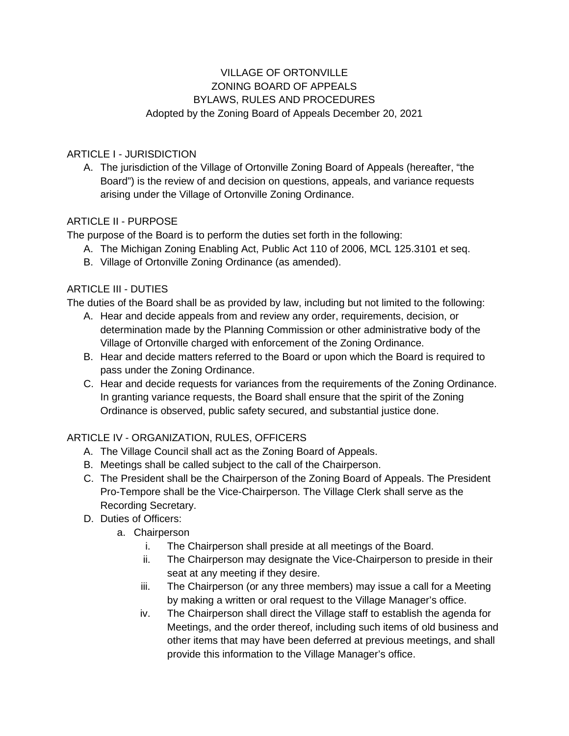# VILLAGE OF ORTONVILLE ZONING BOARD OF APPEALS BYLAWS, RULES AND PROCEDURES Adopted by the Zoning Board of Appeals December 20, 2021

### ARTICLE I - JURISDICTION

A. The jurisdiction of the Village of Ortonville Zoning Board of Appeals (hereafter, "the Board") is the review of and decision on questions, appeals, and variance requests arising under the Village of Ortonville Zoning Ordinance.

#### ARTICLE II - PURPOSE

The purpose of the Board is to perform the duties set forth in the following:

- A. The Michigan Zoning Enabling Act, Public Act 110 of 2006, MCL 125.3101 et seq.
- B. Village of Ortonville Zoning Ordinance (as amended).

#### ARTICLE III - DUTIES

The duties of the Board shall be as provided by law, including but not limited to the following:

- A. Hear and decide appeals from and review any order, requirements, decision, or determination made by the Planning Commission or other administrative body of the Village of Ortonville charged with enforcement of the Zoning Ordinance.
- B. Hear and decide matters referred to the Board or upon which the Board is required to pass under the Zoning Ordinance.
- C. Hear and decide requests for variances from the requirements of the Zoning Ordinance. In granting variance requests, the Board shall ensure that the spirit of the Zoning Ordinance is observed, public safety secured, and substantial justice done.

## ARTICLE IV - ORGANIZATION, RULES, OFFICERS

- A. The Village Council shall act as the Zoning Board of Appeals.
- B. Meetings shall be called subject to the call of the Chairperson.
- C. The President shall be the Chairperson of the Zoning Board of Appeals. The President Pro-Tempore shall be the Vice-Chairperson. The Village Clerk shall serve as the Recording Secretary.
- D. Duties of Officers:
	- a. Chairperson
		- i. The Chairperson shall preside at all meetings of the Board.
		- ii. The Chairperson may designate the Vice-Chairperson to preside in their seat at any meeting if they desire.
		- iii. The Chairperson (or any three members) may issue a call for a Meeting by making a written or oral request to the Village Manager's office.
		- iv. The Chairperson shall direct the Village staff to establish the agenda for Meetings, and the order thereof, including such items of old business and other items that may have been deferred at previous meetings, and shall provide this information to the Village Manager's office.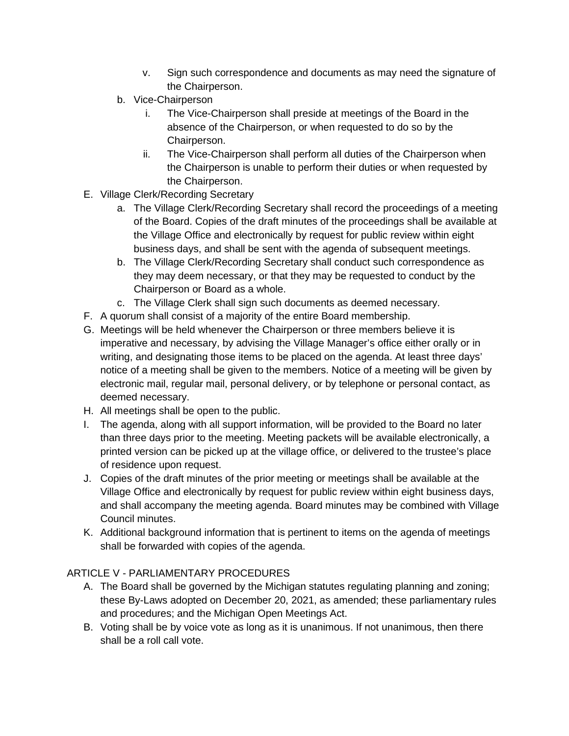- v. Sign such correspondence and documents as may need the signature of the Chairperson.
- b. Vice-Chairperson
	- i. The Vice-Chairperson shall preside at meetings of the Board in the absence of the Chairperson, or when requested to do so by the Chairperson.
	- ii. The Vice-Chairperson shall perform all duties of the Chairperson when the Chairperson is unable to perform their duties or when requested by the Chairperson.
- E. Village Clerk/Recording Secretary
	- a. The Village Clerk/Recording Secretary shall record the proceedings of a meeting of the Board. Copies of the draft minutes of the proceedings shall be available at the Village Office and electronically by request for public review within eight business days, and shall be sent with the agenda of subsequent meetings.
	- b. The Village Clerk/Recording Secretary shall conduct such correspondence as they may deem necessary, or that they may be requested to conduct by the Chairperson or Board as a whole.
	- c. The Village Clerk shall sign such documents as deemed necessary.
- F. A quorum shall consist of a majority of the entire Board membership.
- G. Meetings will be held whenever the Chairperson or three members believe it is imperative and necessary, by advising the Village Manager's office either orally or in writing, and designating those items to be placed on the agenda. At least three days' notice of a meeting shall be given to the members. Notice of a meeting will be given by electronic mail, regular mail, personal delivery, or by telephone or personal contact, as deemed necessary.
- H. All meetings shall be open to the public.
- I. The agenda, along with all support information, will be provided to the Board no later than three days prior to the meeting. Meeting packets will be available electronically, a printed version can be picked up at the village office, or delivered to the trustee's place of residence upon request.
- J. Copies of the draft minutes of the prior meeting or meetings shall be available at the Village Office and electronically by request for public review within eight business days, and shall accompany the meeting agenda. Board minutes may be combined with Village Council minutes.
- K. Additional background information that is pertinent to items on the agenda of meetings shall be forwarded with copies of the agenda.

## ARTICLE V - PARLIAMENTARY PROCEDURES

- A. The Board shall be governed by the Michigan statutes regulating planning and zoning; these By-Laws adopted on December 20, 2021, as amended; these parliamentary rules and procedures; and the Michigan Open Meetings Act.
- B. Voting shall be by voice vote as long as it is unanimous. If not unanimous, then there shall be a roll call vote.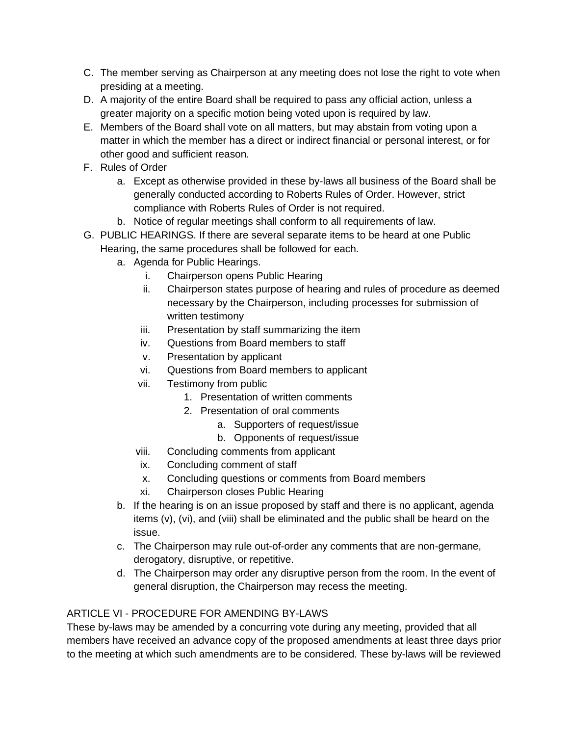- C. The member serving as Chairperson at any meeting does not lose the right to vote when presiding at a meeting.
- D. A majority of the entire Board shall be required to pass any official action, unless a greater majority on a specific motion being voted upon is required by law.
- E. Members of the Board shall vote on all matters, but may abstain from voting upon a matter in which the member has a direct or indirect financial or personal interest, or for other good and sufficient reason.
- F. Rules of Order
	- a. Except as otherwise provided in these by-laws all business of the Board shall be generally conducted according to Roberts Rules of Order. However, strict compliance with Roberts Rules of Order is not required.
	- b. Notice of regular meetings shall conform to all requirements of law.
- G. PUBLIC HEARINGS. If there are several separate items to be heard at one Public Hearing, the same procedures shall be followed for each.
	- a. Agenda for Public Hearings.
		- i. Chairperson opens Public Hearing
		- ii. Chairperson states purpose of hearing and rules of procedure as deemed necessary by the Chairperson, including processes for submission of written testimony
		- iii. Presentation by staff summarizing the item
		- iv. Questions from Board members to staff
		- v. Presentation by applicant
		- vi. Questions from Board members to applicant
		- vii. Testimony from public
			- 1. Presentation of written comments
			- 2. Presentation of oral comments
				- a. Supporters of request/issue
				- b. Opponents of request/issue
		- viii. Concluding comments from applicant
		- ix. Concluding comment of staff
		- x. Concluding questions or comments from Board members
		- xi. Chairperson closes Public Hearing
	- b. If the hearing is on an issue proposed by staff and there is no applicant, agenda items (v), (vi), and (viii) shall be eliminated and the public shall be heard on the issue.
	- c. The Chairperson may rule out-of-order any comments that are non-germane, derogatory, disruptive, or repetitive.
	- d. The Chairperson may order any disruptive person from the room. In the event of general disruption, the Chairperson may recess the meeting.

## ARTICLE VI - PROCEDURE FOR AMENDING BY-LAWS

These by-laws may be amended by a concurring vote during any meeting, provided that all members have received an advance copy of the proposed amendments at least three days prior to the meeting at which such amendments are to be considered. These by-laws will be reviewed